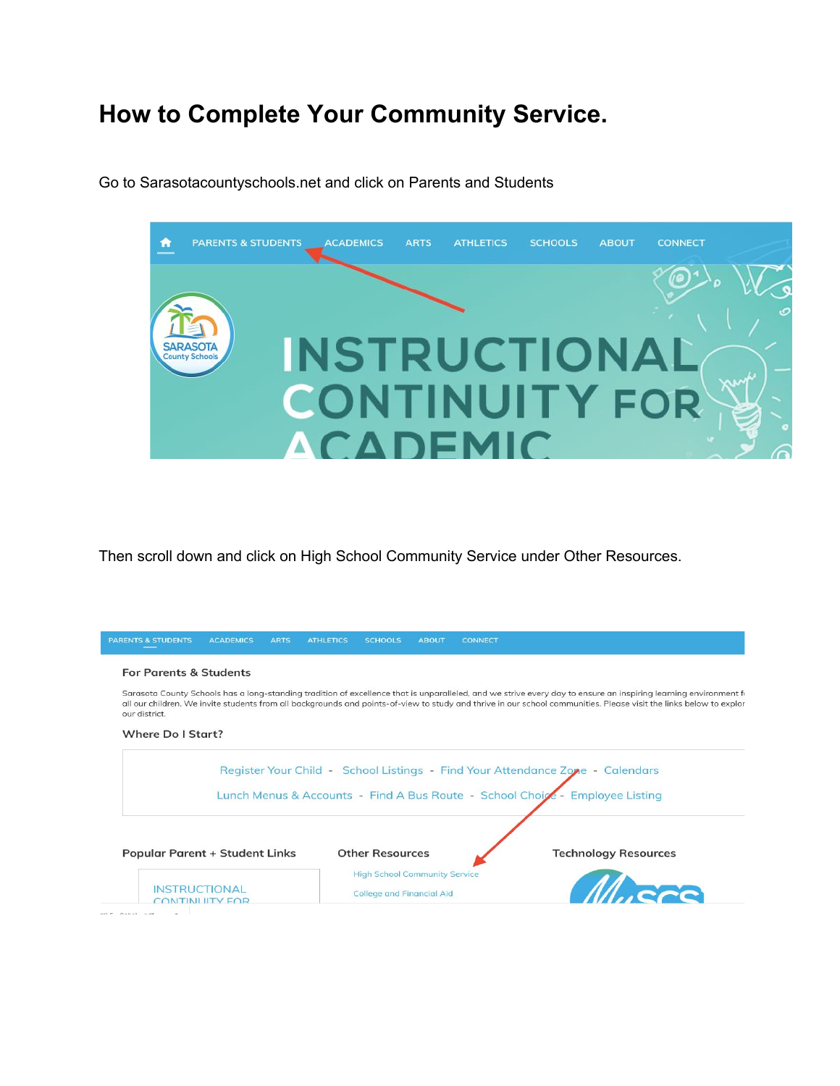## **How to Complete Your Community Service.**



Go to Sarasotacountyschools.net and click on Parents and Students

Then scroll down and click on High School Community Service under Other Resources.

| <b>PARENTS &amp; STUDENTS</b>         | <b>ACADEMICS</b> | <b>ARTS</b> | <b>ATHLETICS</b> | <b>SCHOOLS</b>                       | <b>ABOUT</b> | <b>CONNECT</b>                                                                                                                                                                                                                                                                                                                          |
|---------------------------------------|------------------|-------------|------------------|--------------------------------------|--------------|-----------------------------------------------------------------------------------------------------------------------------------------------------------------------------------------------------------------------------------------------------------------------------------------------------------------------------------------|
| <b>For Parents &amp; Students</b>     |                  |             |                  |                                      |              |                                                                                                                                                                                                                                                                                                                                         |
| our district.                         |                  |             |                  |                                      |              | Sarasota County Schools has a long-standing tradition of excellence that is unparalleled, and we strive every day to ensure an inspiring learning environment for<br>all our children. We invite students from all backgrounds and points-of-view to study and thrive in our school communities. Please visit the links below to explor |
| Where Do I Start?                     |                  |             |                  |                                      |              |                                                                                                                                                                                                                                                                                                                                         |
|                                       |                  |             |                  |                                      |              |                                                                                                                                                                                                                                                                                                                                         |
|                                       |                  |             |                  |                                      |              | Register Your Child - School Listings - Find Your Attendance Zone - Calendars                                                                                                                                                                                                                                                           |
|                                       |                  |             |                  |                                      |              | Lunch Menus & Accounts - Find A Bus Route - School Choice - Employee Listing                                                                                                                                                                                                                                                            |
|                                       |                  |             |                  |                                      |              |                                                                                                                                                                                                                                                                                                                                         |
| <b>Popular Parent + Student Links</b> |                  |             |                  | <b>Other Resources</b>               |              | <b>Technology Resources</b>                                                                                                                                                                                                                                                                                                             |
|                                       |                  |             |                  | <b>High School Community Service</b> |              | Mucro                                                                                                                                                                                                                                                                                                                                   |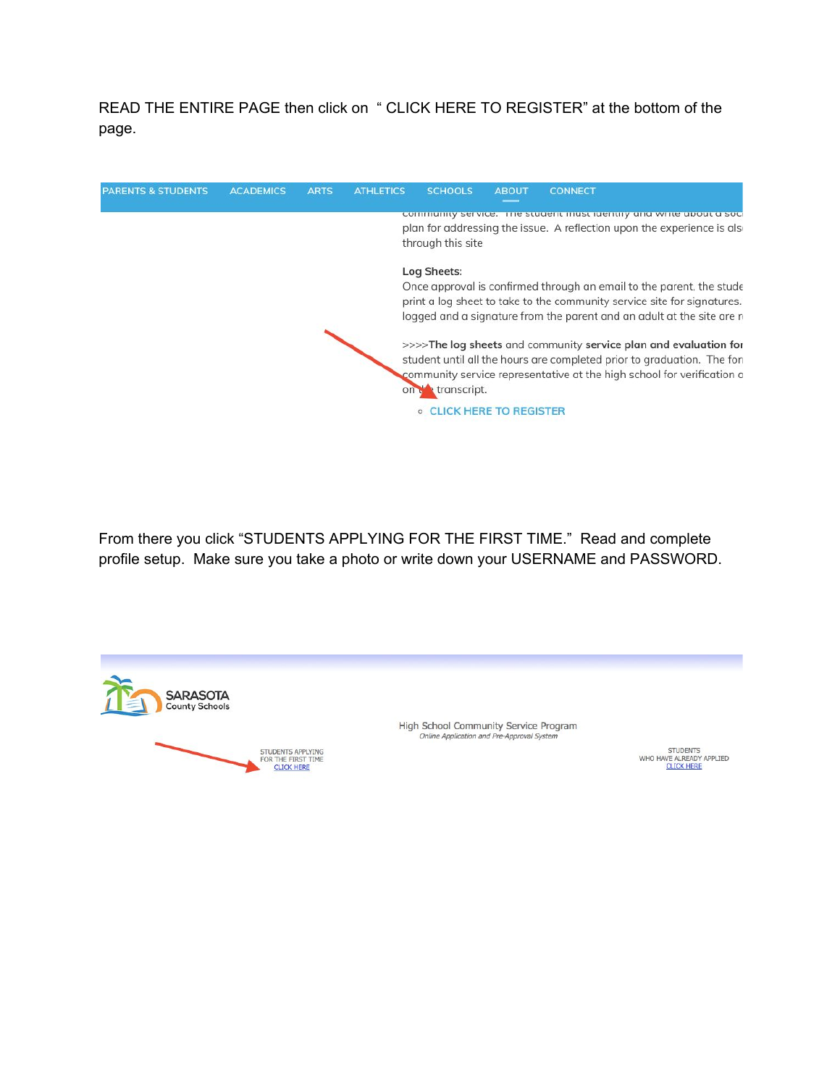READ THE ENTIRE PAGE then click on " CLICK HERE TO REGISTER" at the bottom of the page.



From there you click "STUDENTS APPLYING FOR THE FIRST TIME." Read and complete profile setup. Make sure you take a photo or write down your USERNAME and PASSWORD.



High School Community Service Program Online Application and Pre-Approval System

> **STUDENTS** WHO HAVE ALREADY APPLIED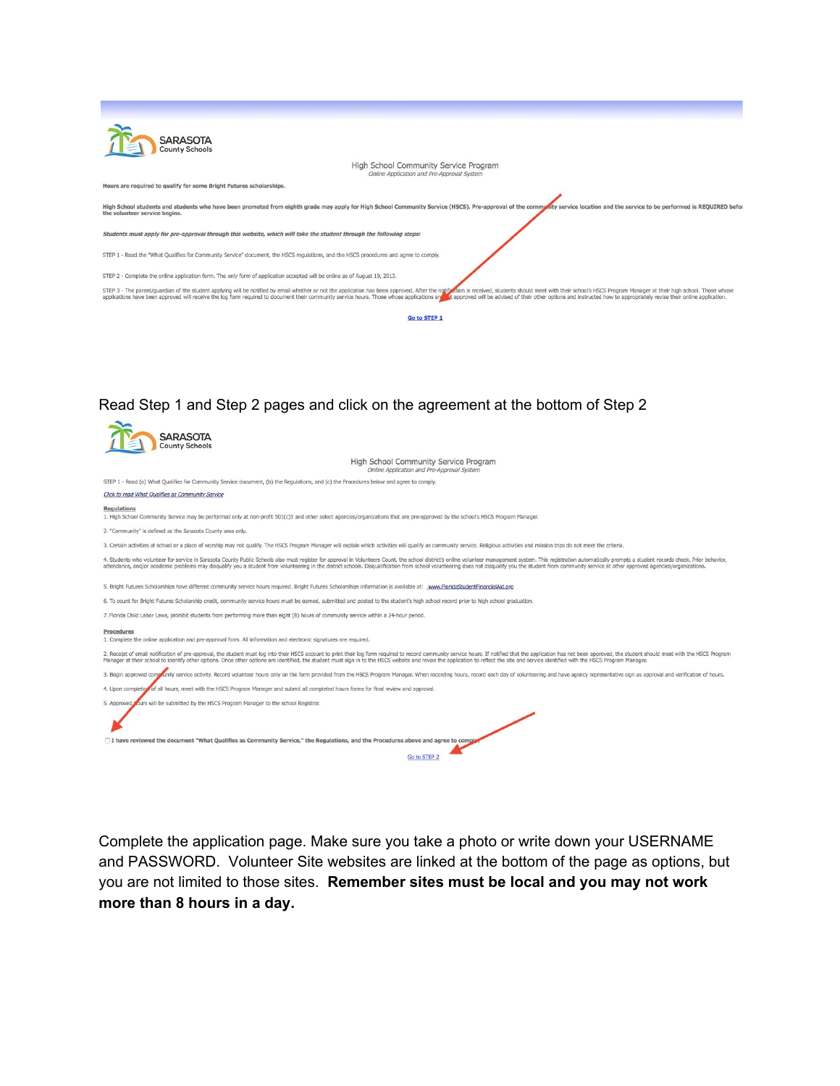| <b>SARASOTA</b><br>County Schools                                                                                                                                                                                                                                                                                                                                                                                                                                |
|------------------------------------------------------------------------------------------------------------------------------------------------------------------------------------------------------------------------------------------------------------------------------------------------------------------------------------------------------------------------------------------------------------------------------------------------------------------|
| High School Community Service Program<br>Online Application and Pre-Approval System                                                                                                                                                                                                                                                                                                                                                                              |
| Hours are required to qualify for some Bright Futures scholarships.                                                                                                                                                                                                                                                                                                                                                                                              |
| High School students and students who have been promoted from eighth grade may apply for High School Community Service (HSCS). Pre-approval of the community service location and the service to be performed is REQUIRED befo<br>the volunteer service begins.                                                                                                                                                                                                  |
| Students must apply for pre-approval through this website, which will take the student through the following steps:                                                                                                                                                                                                                                                                                                                                              |
| STEP 1 - Read the "What Qualifies for Community Service" document, the HSCS regulations, and the HSCS procedures and agree to comply.                                                                                                                                                                                                                                                                                                                            |
| STEP 2 - Complete the online application form. The only form of application accepted will be online as of August 19, 2013.                                                                                                                                                                                                                                                                                                                                       |
| STEP 3 - The parent/guardian of the student applying will be notified by email whether or not the application has been approved. After the notified in is received, students should meet with their school's HSCS Program Mana<br>applications have been approved will receive the log form required to document their community service hours. Those whose applications are a approved will be advised of their other options and instructed how to appropriate |
| <b>Go to STEP 1</b>                                                                                                                                                                                                                                                                                                                                                                                                                                              |

## Read Step 1 and Step 2 pages and click on the agreement at the bottom of Step 2

| SARASOTA<br>County Schools                                                                                                                                                                                                                                                                                                                                                                                                                                       |
|------------------------------------------------------------------------------------------------------------------------------------------------------------------------------------------------------------------------------------------------------------------------------------------------------------------------------------------------------------------------------------------------------------------------------------------------------------------|
| High School Community Service Program<br>Online Application and Pre-Approval System                                                                                                                                                                                                                                                                                                                                                                              |
| STEP 1 - Read (a) What Qualifies for Community Service document, (b) the Requlations, and (c) the Procedures below and agree to comply.                                                                                                                                                                                                                                                                                                                          |
| Click to read What Oualifies as Community Service                                                                                                                                                                                                                                                                                                                                                                                                                |
| <b>Requlations</b><br>1. High School Community Service may be performed only at non-profit 501(c)3 and other select agencies/organizations that are pre-approved by the school's HSCS Program Manager.                                                                                                                                                                                                                                                           |
| 2. "Community" is defined as the Sarasota County area only.                                                                                                                                                                                                                                                                                                                                                                                                      |
| 3. Certain activities at school or a place of worship may not qualify. The HSCS Program Manager will explain which activities will qualify as community service. Religious activities and mission trips do not meet the criter                                                                                                                                                                                                                                   |
| 4. Students who volunteer for service in Sarasota County Public Schools also must register for approval in Volunteers Count, the school district's online volunteer management system. This registration automatically prompts<br>attendance, and/or academic problems may disqualify you a student from volunteering in the district schools. Disqualification from school volunteering does not disqualify you the student from community service at other app |
| 5. Bright Futures Scholarships have different community service hours required. Bright Futures Scholarships information is available at: www.FloridaStudentFinancialAid.org                                                                                                                                                                                                                                                                                      |
| 6. To count for Bright Futures Scholarship credit, community service hours must be earned, submitted and posted to the student's high school record prior to high school graduation.                                                                                                                                                                                                                                                                             |
| 7. Florida Child Labor Laws, prohibit students from performing more than eight (8) hours of community service within a 24-hour period.                                                                                                                                                                                                                                                                                                                           |
| Procedures<br>1. Complete the online application and pre-approval form. All information and electronic signatures are required.                                                                                                                                                                                                                                                                                                                                  |
| 2. Receipt of email notification of pre-approval, the student must log into their HSCS account to print their log form required to record community service hours. If notified that the application has not been approved, the<br>Manager at their school to identify other options. Once other options are identified, the student must sign in to the HSCS website and revise the application to reflect the site and service identified with the HSCS Program |
| 3. Begin approved come unity service activity. Record volunteer hours only on the form provided from the HSCS Program Manager. When recording hours, record each day of volunteering and have agency representative sign as ap                                                                                                                                                                                                                                   |
| 4. Upon completion of all hours, meet with the HSCS Program Manager and submit all completed hours forms for final review and approval.                                                                                                                                                                                                                                                                                                                          |
| 5. Approved yours will be submitted by the HSCS Program Manager to the school Registrar.                                                                                                                                                                                                                                                                                                                                                                         |
|                                                                                                                                                                                                                                                                                                                                                                                                                                                                  |
| T I have reviewed the document "What Qualifies as Community Service," the Regulations, and the Procedures above and agree to comple                                                                                                                                                                                                                                                                                                                              |
| Go to STEP 2                                                                                                                                                                                                                                                                                                                                                                                                                                                     |

Complete the application page. Make sure you take a photo or write down your USERNAME and PASSWORD. Volunteer Site websites are linked at the bottom of the page as options, but you are not limited to those sites. **Remember sites must be local and you may not work more than 8 hours in a day.**